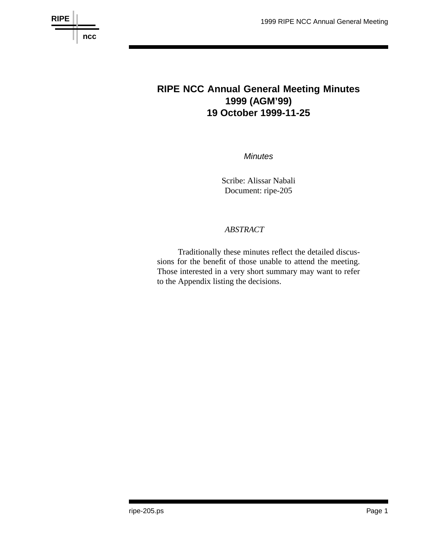



# **RIPE NCC Annual General Meeting Minutes 1999 (AGM'99) 19 October 1999-11-25**

*Minutes*

Scribe: Alissar Nabali Document: ripe-205

#### *ABSTRACT*

Traditionally these minutes reflect the detailed discussions for the benefit of those unable to attend the meeting. Those interested in a very short summary may want to refer to the Appendix listing the decisions.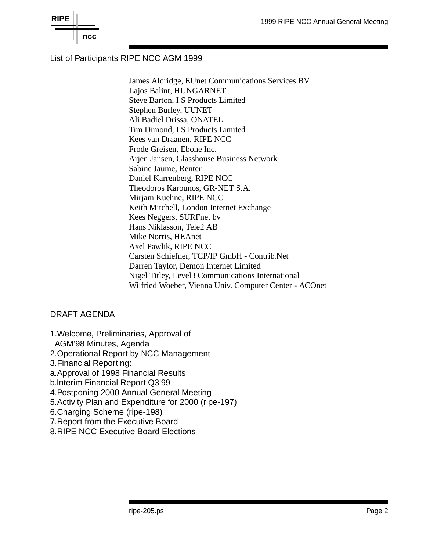

# List of Participants RIPE NCC AGM 1999

James Aldridge, EUnet Communications Services BV Lajos Balint, HUNGARNET Steve Barton, I S Products Limited Stephen Burley, UUNET Ali Badiel Drissa, ONATEL Tim Dimond, I S Products Limited Kees van Draanen, RIPE NCC Frode Greisen, Ebone Inc. Arjen Jansen, Glasshouse Business Network Sabine Jaume, Renter Daniel Karrenberg, RIPE NCC Theodoros Karounos, GR-NET S.A. Mirjam Kuehne, RIPE NCC Keith Mitchell, London Internet Exchange Kees Neggers, SURFnet bv Hans Niklasson, Tele2 AB Mike Norris, HEAnet Axel Pawlik, RIPE NCC Carsten Schiefner, TCP/IP GmbH - Contrib.Net Darren Taylor, Demon Internet Limited Nigel Titley, Level3 Communications International Wilfried Woeber, Vienna Univ. Computer Center - ACOnet

### DRAFT AGENDA

- 1. Welcome, Preliminaries, Approval of AGM'98 Minutes, Agenda
- 2.Operational Report by NCC Management
- 3.Financial Reporting:
- a.Approval of 1998 Financial Results
- b.Interim Financial Report Q3'99
- 4.Postponing 2000 Annual General Meeting
- 5.Activity Plan and Expenditure for 2000 (ripe-197)
- 6.Charging Scheme (ripe-198)
- 7. Report from the Executive Board
- 8.RIPE NCC Executive Board Elections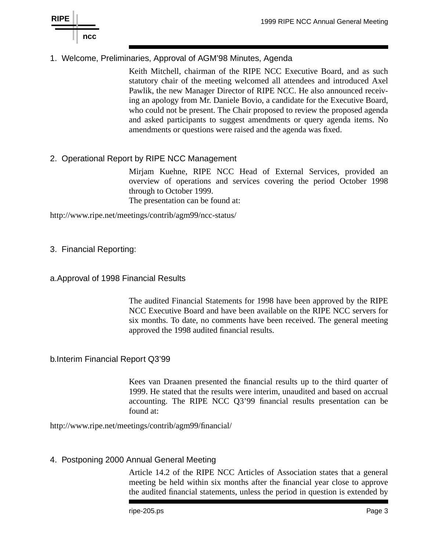# 1. Welcome, Preliminaries, Approval of AGM'98 Minutes, Agenda

Keith Mitchell, chairman of the RIPE NCC Executive Board, and as such statutory chair of the meeting welcomed all attendees and introduced Axel Pawlik, the new Manager Director of RIPE NCC. He also announced receiving an apology from Mr. Daniele Bovio, a candidate for the Executive Board, who could not be present. The Chair proposed to review the proposed agenda and asked participants to suggest amendments or query agenda items. No amendments or questions were raised and the agenda was fixed.

# 2. Operational Report by RIPE NCC Management

Mirjam Kuehne, RIPE NCC Head of External Services, provided an overview of operations and services covering the period October 1998 through to October 1999.

The presentation can be found at:

http://www.ripe.net/meetings/contrib/agm99/ncc-status/

- 3. Financial Reporting:
- a.Approval of 1998 Financial Results

The audited Financial Statements for 1998 have been approved by the RIPE NCC Executive Board and have been available on the RIPE NCC servers for six months. To date, no comments have been received. The general meeting approved the 1998 audited financial results.

#### b. Interim Financial Report Q3'99

Kees van Draanen presented the financial results up to the third quarter of 1999. He stated that the results were interim, unaudited and based on accrual accounting. The RIPE NCC Q3'99 financial results presentation can be found at:

http://www.ripe.net/meetings/contrib/agm99/financial/

#### 4. Postponing 2000 Annual General Meeting

Article 14.2 of the RIPE NCC Articles of Association states that a general meeting be held within six months after the financial year close to approve the audited financial statements, unless the period in question is extended by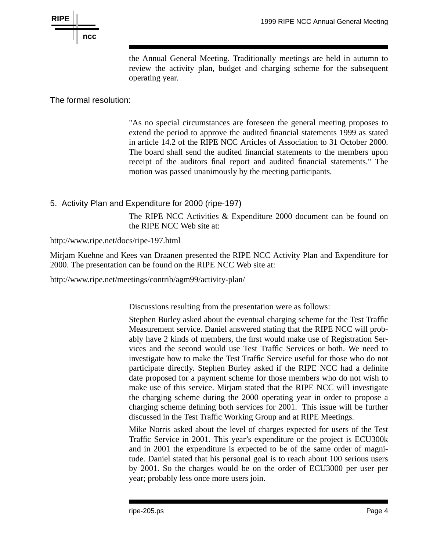

the Annual General Meeting. Traditionally meetings are held in autumn to review the activity plan, budget and charging scheme for the subsequent operating year.

The formal resolution:

"As no special circumstances are foreseen the general meeting proposes to extend the period to approve the audited financial statements 1999 as stated in article 14.2 of the RIPE NCC Articles of Association to 31 October 2000. The board shall send the audited financial statements to the members upon receipt of the auditors final report and audited financial statements." The motion was passed unanimously by the meeting participants.

# 5. Activity Plan and Expenditure for 2000 (ripe-197)

The RIPE NCC Activities & Expenditure 2000 document can be found on the RIPE NCC Web site at:

http://www.ripe.net/docs/ripe-197.html

Mirjam Kuehne and Kees van Draanen presented the RIPE NCC Activity Plan and Expenditure for 2000. The presentation can be found on the RIPE NCC Web site at:

http://www.ripe.net/meetings/contrib/agm99/activity-plan/

Discussions resulting from the presentation were as follows:

Stephen Burley asked about the eventual charging scheme for the Test Traffic Measurement service. Daniel answered stating that the RIPE NCC will probably have 2 kinds of members, the first would make use of Registration Services and the second would use Test Traffic Services or both. We need to investigate how to make the Test Traffic Service useful for those who do not participate directly. Stephen Burley asked if the RIPE NCC had a definite date proposed for a payment scheme for those members who do not wish to make use of this service. Mirjam stated that the RIPE NCC will investigate the charging scheme during the 2000 operating year in order to propose a charging scheme defining both services for 2001. This issue will be further discussed in the Test Traffic Working Group and at RIPE Meetings.

Mike Norris asked about the level of charges expected for users of the Test Traffic Service in 2001. This year's expenditure or the project is ECU300k and in 2001 the expenditure is expected to be of the same order of magnitude. Daniel stated that his personal goal is to reach about 100 serious users by 2001. So the charges would be on the order of ECU3000 per user per year; probably less once more users join.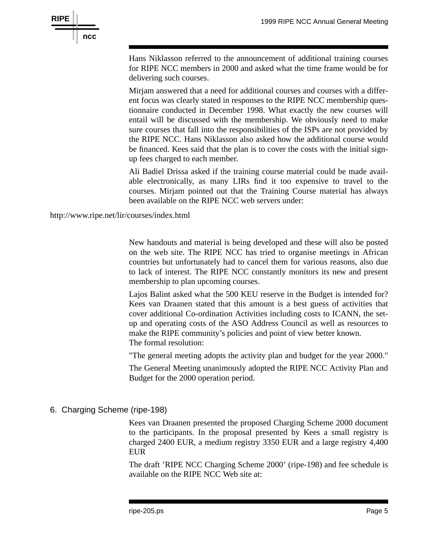

Hans Niklasson referred to the announcement of additional training courses for RIPE NCC members in 2000 and asked what the time frame would be for delivering such courses.

Mirjam answered that a need for additional courses and courses with a different focus was clearly stated in responses to the RIPE NCC membership questionnaire conducted in December 1998. What exactly the new courses will entail will be discussed with the membership. We obviously need to make sure courses that fall into the responsibilities of the ISPs are not provided by the RIPE NCC. Hans Niklasson also asked how the additional course would be financed. Kees said that the plan is to cover the costs with the initial signup fees charged to each member.

Ali Badiel Drissa asked if the training course material could be made available electronically, as many LIRs find it too expensive to travel to the courses. Mirjam pointed out that the Training Course material has always been available on the RIPE NCC web servers under:

http://www.ripe.net/lir/courses/index.html

New handouts and material is being developed and these will also be posted on the web site. The RIPE NCC has tried to organise meetings in African countries but unfortunately had to cancel them for various reasons, also due to lack of interest. The RIPE NCC constantly monitors its new and present membership to plan upcoming courses.

Lajos Balint asked what the 500 KEU reserve in the Budget is intended for? Kees van Draanen stated that this amount is a best guess of activities that cover additional Co-ordination Activities including costs to ICANN, the setup and operating costs of the ASO Address Council as well as resources to make the RIPE community's policies and point of view better known. The formal resolution:

"The general meeting adopts the activity plan and budget for the year 2000."

The General Meeting unanimously adopted the RIPE NCC Activity Plan and Budget for the 2000 operation period.

6. Charging Scheme (ripe-198)

Kees van Draanen presented the proposed Charging Scheme 2000 document to the participants. In the proposal presented by Kees a small registry is charged 2400 EUR, a medium registry 3350 EUR and a large registry 4,400 EUR

The draft 'RIPE NCC Charging Scheme 2000' (ripe-198) and fee schedule is available on the RIPE NCC Web site at: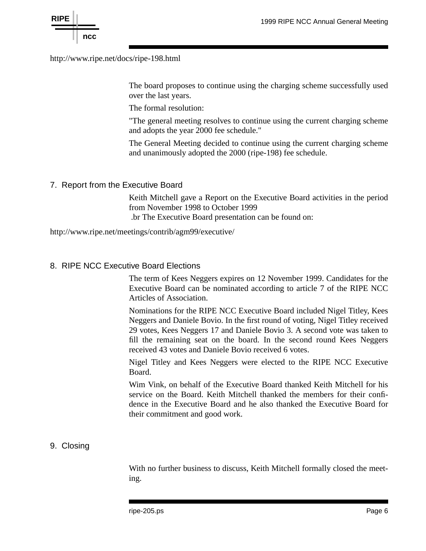http://www.ripe.net/docs/ripe-198.html

The board proposes to continue using the charging scheme successfully used over the last years.

The formal resolution:

"The general meeting resolves to continue using the current charging scheme and adopts the year 2000 fee schedule."

The General Meeting decided to continue using the current charging scheme and unanimously adopted the 2000 (ripe-198) fee schedule.

### 7. Report from the Executive Board

Keith Mitchell gave a Report on the Executive Board activities in the period from November 1998 to October 1999 .br The Executive Board presentation can be found on:

http://www.ripe.net/meetings/contrib/agm99/executive/

# 8. RIPE NCC Executive Board Elections

The term of Kees Neggers expires on 12 November 1999. Candidates for the Executive Board can be nominated according to article 7 of the RIPE NCC Articles of Association.

Nominations for the RIPE NCC Executive Board included Nigel Titley, Kees Neggers and Daniele Bovio. In the first round of voting, Nigel Titley received 29 votes, Kees Neggers 17 and Daniele Bovio 3. A second vote was taken to fill the remaining seat on the board. In the second round Kees Neggers received 43 votes and Daniele Bovio received 6 votes.

Nigel Titley and Kees Neggers were elected to the RIPE NCC Executive Board.

Wim Vink, on behalf of the Executive Board thanked Keith Mitchell for his service on the Board. Keith Mitchell thanked the members for their confidence in the Executive Board and he also thanked the Executive Board for their commitment and good work.

# 9. Closing

With no further business to discuss, Keith Mitchell formally closed the meeting.